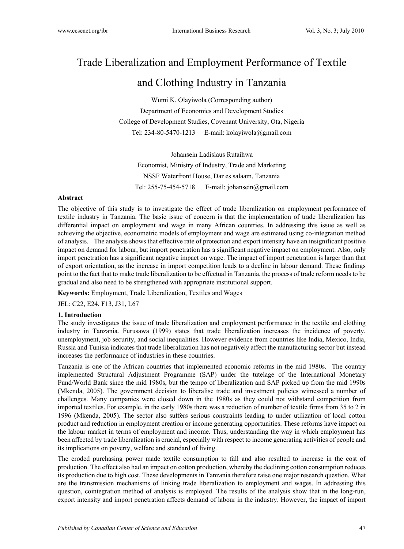# Trade Liberalization and Employment Performance of Textile

# and Clothing Industry in Tanzania

Wumi K. Olayiwola (Corresponding author) Department of Economics and Development Studies College of Development Studies, Covenant University, Ota, Nigeria Tel: 234-80-5470-1213 E-mail: kolayiwola@gmail.com

Johansein Ladislaus Rutaihwa Economist, Ministry of Industry, Trade and Marketing NSSF Waterfront House, Dar es salaam, Tanzania Tel: 255-75-454-5718 E-mail: johansein@gmail.com

# **Abstract**

The objective of this study is to investigate the effect of trade liberalization on employment performance of textile industry in Tanzania. The basic issue of concern is that the implementation of trade liberalization has differential impact on employment and wage in many African countries. In addressing this issue as well as achieving the objective, econometric models of employment and wage are estimated using co-integration method of analysis. The analysis shows that effective rate of protection and export intensity have an insignificant positive impact on demand for labour, but import penetration has a significant negative impact on employment. Also, only import penetration has a significant negative impact on wage. The impact of import penetration is larger than that of export orientation, as the increase in import competition leads to a decline in labour demand. These findings point to the fact that to make trade liberalization to be effectual in Tanzania, the process of trade reform needs to be gradual and also need to be strengthened with appropriate institutional support.

**Keywords:** Employment, Trade Liberalization, Textiles and Wages

JEL: C22, E24, F13, J31, L67

## **1. Introduction**

The study investigates the issue of trade liberalization and employment performance in the textile and clothing industry in Tanzania. Furusawa (1999) states that trade liberalization increases the incidence of poverty, unemployment, job security, and social inequalities. However evidence from countries like India, Mexico, India, Russia and Tunisia indicates that trade liberalization has not negatively affect the manufacturing sector but instead increases the performance of industries in these countries.

Tanzania is one of the African countries that implemented economic reforms in the mid 1980s. The country implemented Structural Adjustment Programme (SAP) under the tutelage of the International Monetary Fund/World Bank since the mid 1980s, but the tempo of liberalization and SAP picked up from the mid 1990s (Mkenda, 2005). The government decision to liberalise trade and investment policies witnessed a number of challenges. Many companies were closed down in the 1980s as they could not withstand competition from imported textiles. For example, in the early 1980s there was a reduction of number of textile firms from 35 to 2 in 1996 (Mkenda, 2005). The sector also suffers serious constraints leading to under utilization of local cotton product and reduction in employment creation or income generating opportunities. These reforms have impact on the labour market in terms of employment and income. Thus, understanding the way in which employment has been affected by trade liberalization is crucial, especially with respect to income generating activities of people and its implications on poverty, welfare and standard of living.

The eroded purchasing power made textile consumption to fall and also resulted to increase in the cost of production. The effect also had an impact on cotton production, whereby the declining cotton consumption reduces its production due to high cost. These developments in Tanzania therefore raise one major research question. What are the transmission mechanisms of linking trade liberalization to employment and wages. In addressing this question, cointegration method of analysis is employed. The results of the analysis show that in the long-run, export intensity and import penetration affects demand of labour in the industry. However, the impact of import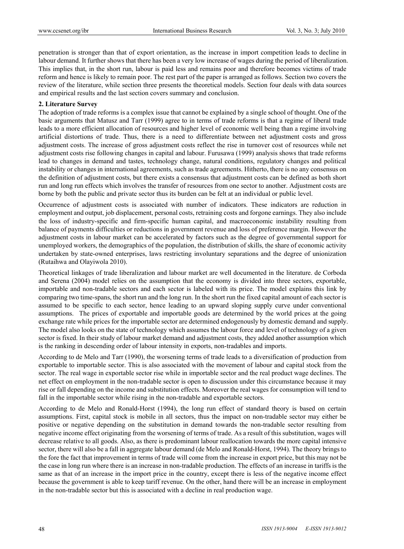penetration is stronger than that of export orientation, as the increase in import competition leads to decline in labour demand. It further shows that there has been a very low increase of wages during the period of liberalization. This implies that, in the short run, labour is paid less and remains poor and therefore becomes victims of trade reform and hence is likely to remain poor. The rest part of the paper is arranged as follows. Section two covers the review of the literature, while section three presents the theoretical models. Section four deals with data sources and empirical results and the last section covers summary and conclusion.

## **2. Literature Survey**

The adoption of trade reforms is a complex issue that cannot be explained by a single school of thought. One of the basic arguments that Matusz and Tarr (1999) agree to in terms of trade reforms is that a regime of liberal trade leads to a more efficient allocation of resources and higher level of economic well being than a regime involving artificial distortions of trade. Thus, there is a need to differentiate between net adjustment costs and gross adjustment costs. The increase of gross adjustment costs reflect the rise in turnover cost of resources while net adjustment costs rise following changes in capital and labour. Furusawa (1999) analysis shows that trade reforms lead to changes in demand and tastes, technology change, natural conditions, regulatory changes and political instability or changes in international agreements, such as trade agreements. Hitherto, there is no any consensus on the definition of adjustment costs, but there exists a consensus that adjustment costs can be defined as both short run and long run effects which involves the transfer of resources from one sector to another. Adjustment costs are borne by both the public and private sector thus its burden can be felt at an individual or public level.

Occurrence of adjustment costs is associated with number of indicators. These indicators are reduction in employment and output, job displacement, personal costs, retraining costs and forgone earnings. They also include the loss of industry-specific and firm-specific human capital, and macroeconomic instability resulting from balance of payments difficulties or reductions in government revenue and loss of preference margin. However the adjustment costs in labour market can be accelerated by factors such as the degree of governmental support for unemployed workers, the demographics of the population, the distribution of skills, the share of economic activity undertaken by state-owned enterprises, laws restricting involuntary separations and the degree of unionization (Rutaihwa and Olayiwola 2010).

Theoretical linkages of trade liberalization and labour market are well documented in the literature. de Corboda and Serena (2004) model relies on the assumption that the economy is divided into three sectors, exportable, importable and non-tradable sectors and each sector is labeled with its price. The model explains this link by comparing two time-spans, the short run and the long run. In the short run the fixed capital amount of each sector is assumed to be specific to each sector, hence leading to an upward sloping supply curve under conventional assumptions. The prices of exportable and importable goods are determined by the world prices at the going exchange rate while prices for the importable sector are determined endogenously by domestic demand and supply. The model also looks on the state of technology which assumes the labour force and level of technology of a given sector is fixed. In their study of labour market demand and adjustment costs, they added another assumption which is the ranking in descending order of labour intensity in exports, non-tradables and imports.

According to de Melo and Tarr (1990), the worsening terms of trade leads to a diversification of production from exportable to importable sector. This is also associated with the movement of labour and capital stock from the sector. The real wage in exportable sector rise while in importable sector and the real product wage declines. The net effect on employment in the non-tradable sector is open to discussion under this circumstance because it may rise or fall depending on the income and substitution effects. Moreover the real wages for consumption will tend to fall in the importable sector while rising in the non-tradable and exportable sectors.

According to de Melo and Ronald-Horst (1994), the long run effect of standard theory is based on certain assumptions. First, capital stock is mobile in all sectors, thus the impact on non-tradable sector may either be positive or negative depending on the substitution in demand towards the non-tradable sector resulting from negative income effect originating from the worsening of terms of trade. As a result of this substitution, wages will decrease relative to all goods. Also, as there is predominant labour reallocation towards the more capital intensive sector, there will also be a fall in aggregate labour demand (de Melo and Ronald-Horst, 1994). The theory brings to the fore the fact that improvement in terms of trade will come from the increase in export price, but this may not be the case in long run where there is an increase in non-tradable production. The effects of an increase in tariffs is the same as that of an increase in the import price in the country, except there is less of the negative income effect because the government is able to keep tariff revenue. On the other, hand there will be an increase in employment in the non-tradable sector but this is associated with a decline in real production wage.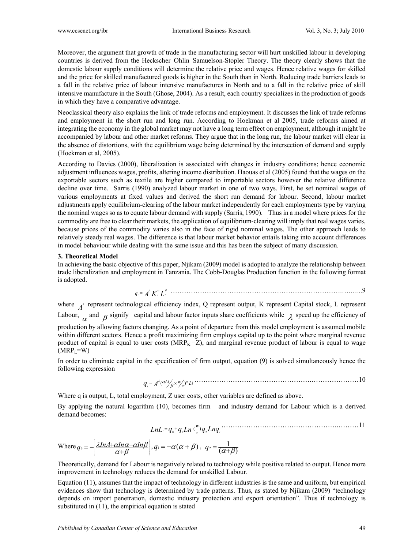Moreover, the argument that growth of trade in the manufacturing sector will hurt unskilled labour in developing countries is derived from the Heckscher–Ohlin–Samuelson-Stopler Theory. The theory clearly shows that the domestic labour supply conditions will determine the relative price and wages. Hence relative wages for skilled and the price for skilled manufactured goods is higher in the South than in North. Reducing trade barriers leads to a fall in the relative price of labour intensive manufactures in North and to a fall in the relative price of skill intensive manufacture in the South (Ghose, 2004). As a result, each country specializes in the production of goods in which they have a comparative advantage.

Neoclassical theory also explains the link of trade reforms and employment. It discusses the link of trade reforms and employment in the short run and long run. According to Hoekman et al 2005, trade reforms aimed at integrating the economy in the global market may not have a long term effect on employment, although it might be accompanied by labour and other market reforms. They argue that in the long run, the labour market will clear in the absence of distortions, with the equilibrium wage being determined by the intersection of demand and supply (Hoekman et al, 2005).

According to Davies (2000), liberalization is associated with changes in industry conditions; hence economic adjustment influences wages, profits, altering income distribution. Haouas et al (2005) found that the wages on the exportable sectors such as textile are higher compared to importable sectors however the relative difference decline over time. Sarris (1990) analyzed labour market in one of two ways. First, he set nominal wages of various employments at fixed values and derived the short run demand for labour. Second, labour market adjustments apply equilibrium-clearing of the labour market independently for each employments type by varying the nominal wages so as to equate labour demand with supply (Sarris, 1990). Thus in a model where prices for the commodity are free to clear their markets, the application of equilibrium-clearing will imply that real wages varies, because prices of the commodity varies also in the face of rigid nominal wages. The other approach leads to relatively steady real wages. The difference is that labour market behavior entails taking into account differences in model behaviour while dealing with the same issue and this has been the subject of many discussion.

# **3. Theoretical Model**

In achieving the basic objective of this paper, Njikam (2009) model is adopted to analyze the relationship between trade liberalization and employment in Tanzania. The Cobb-Douglas Production function in the following format is adopted.

*A Ki Li qi* <sup>λ</sup> <sup>α</sup> <sup>β</sup> <sup>=</sup> ………………………………………………………………….….…...9

where  $A^{\text{A}}$  represent technological efficiency index, Q represent output, K represent Capital stock, L represent Labour,  $\alpha$  and  $\beta$  signify capital and labour factor inputs share coefficients while  $\lambda$  speed up the efficiency of production by allowing factors changing. As a point of departure from this model employment is assumed mobile within different sectors. Hence a profit maximizing firm employs capital up to the point where marginal revenue

product of capital is equal to user costs ( $MRP_K = Z$ ), and marginal revenue product of labour is equal to wage  $(MRP<sub>L</sub>=W)$ In order to eliminate capital in the specification of firm output, equation (9) is solved simultaneously hence the

following expression

$$
q_i = A^{\lambda} (aL / \beta \times w / 2)^{\alpha} L i \cdots (aL / \beta \times w / 2)^{\alpha}
$$

Where q is output, L, total employment, Z user costs, other variables are defined as above.

By applying the natural logarithm (10), becomes firm and industry demand for Labour which is a derived demand becomes:

$$
LnL_i = q_0 + q_1 Ln \left(\frac{w}{z}\right)q_2 Lnq_i
$$

Where 
$$
q_0 = -\left[\frac{\lambda InA + \alpha In\alpha - \alpha In\beta}{\alpha + \beta}\right], q_1 = -\alpha(\alpha + \beta), q_2 = \frac{1}{(\alpha + \beta)}
$$

Theoretically, demand for Labour is negatively related to technology while positive related to output. Hence more improvement in technology reduces the demand for unskilled Labour.

Equation (11), assumes that the impact of technology in different industries is the same and uniform, but empirical evidences show that technology is determined by trade patterns. Thus, as stated by Njikam (2009) "technology depends on import penetration, domestic industry protection and export orientation". Thus if technology is substituted in (11), the empirical equation is stated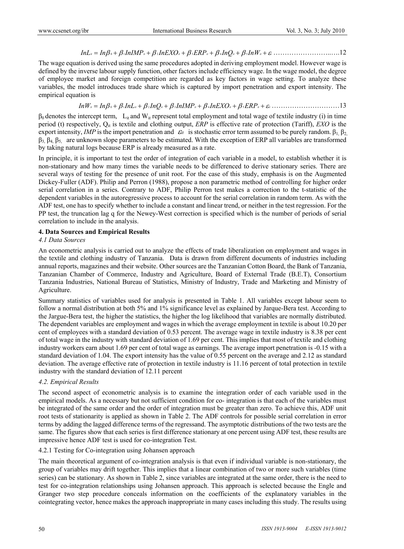$$
InL_{u} = In\beta_{0} + \beta_{1} InIMP_{u} + \beta_{2} InEXO_{u} + \beta_{3} ERP_{u} + \beta_{4} InQ_{u} + \beta_{5} InW_{u} + \varepsilon
$$
.................12

The wage equation is derived using the same procedures adopted in deriving employment model. However wage is defined by the inverse labour supply function, other factors include efficiency wage. In the wage model, the degree of employee market and foreign competition are regarded as key factors in wage setting. To analyze these variables, the model introduces trade share which is captured by import penetration and export intensity. The empirical equation is

*InWit* = *In*β <sup>0</sup> + β1*InLit* + β <sup>2</sup> *InQit* + β <sup>3</sup> *InIMPit* + β <sup>4</sup> *InEXOit* + β <sup>5</sup>*ERPit* + <sup>ε</sup>*it* …………………………13

 $\beta_0$  denotes the intercept term, L<sub>it</sub> and W<sub>it</sub> represent total employment and total wage of textile industry (i) in time period (t) respectively, Qit is textile and clothing output, *ERP* is effective rate of protection (Tariff), *EXO* is the export intensity, *IMP* is the import penetration and  $\varepsilon_{it}$  is stochastic error term assumed to be purely random.  $\beta_1$ ,  $\beta_2$  $\beta_3$ ,  $\beta_4$ ,  $\beta_5$ , are unknown slope parameters to be estimated. With the exception of ERP all variables are transformed by taking natural logs because ERP is already measured as a rate.

In principle, it is important to test the order of integration of each variable in a model, to establish whether it is non-stationary and how many times the variable needs to be differenced to derive stationary series. There are several ways of testing for the presence of unit root. For the case of this study, emphasis is on the Augmented Dickey-Fuller (ADF). Philip and Perron (1988), propose a non parametric method of controlling for higher order serial correlation in a series. Contrary to ADF, Philip Perron test makes a correction to the t-statistic of the dependent variables in the autoregressive process to account for the serial correlation in random term. As with the ADF test, one has to specify whether to include a constant and linear trend, or neither in the test regression. For the PP test, the truncation lag q for the Newey-West correction is specified which is the number of periods of serial correlation to include in the analysis.

#### **4. Data Sources and Empirical Results**

#### *4.1 Data Sources*

An econometric analysis is carried out to analyze the effects of trade liberalization on employment and wages in the textile and clothing industry of Tanzania. Data is drawn from different documents of industries including annual reports, magazines and their website. Other sources are the Tanzanian Cotton Board, the Bank of Tanzania, Tanzanian Chamber of Commerce, Industry and Agriculture, Board of External Trade (B.E.T), Consortium Tanzania Industries, National Bureau of Statistics, Ministry of Industry, Trade and Marketing and Ministry of Agriculture.

Summary statistics of variables used for analysis is presented in Table 1. All variables except labour seem to follow a normal distribution at both 5% and 1% significance level as explained by Jarque-Bera test. According to the Jargue-Bera test, the higher the statistics, the higher the log likelihood that variables are normally distributed. The dependent variables are employment and wages in which the average employment in textile is about 10.20 per cent of employees with a standard deviation of 0.53 percent. The average wage in textile industry is 8.38 per cent of total wage in the industry with standard deviation of 1.69 per cent. This implies that most of textile and clothing industry workers earn about 1.69 per cent of total wage as earnings. The average import penetration is -0.15 with a standard deviation of 1.04. The export intensity has the value of 0.55 percent on the average and 2.12 as standard deviation. The average effective rate of protection in textile industry is 11.16 percent of total protection in textile industry with the standard deviation of 12.11 percent

## *4.2. Empirical Results*

The second aspect of econometric analysis is to examine the integration order of each variable used in the empirical models. As a necessary but not sufficient condition for co- integration is that each of the variables must be integrated of the same order and the order of integration must be greater than zero. To achieve this, ADF unit root tests of stationarity is applied as shown in Table 2. The ADF controls for possible serial correlation in error terms by adding the lagged difference terms of the regressand. The asymptotic distributions of the two tests are the same. The figures show that each series is first difference stationary at one percent using ADF test, these results are impressive hence ADF test is used for co-integration Test.

#### 4.2.1 Testing for Co-integration using Johansen approach

The main theoretical argument of co-integration analysis is that even if individual variable is non-stationary, the group of variables may drift together. This implies that a linear combination of two or more such variables (time series) can be stationary. As shown in Table 2, since variables are integrated at the same order, there is the need to test for co-integration relationships using Johansen approach. This approach is selected because the Engle and Granger two step procedure conceals information on the coefficients of the explanatory variables in the cointegrating vector, hence makes the approach inappropriate in many cases including this study. The results using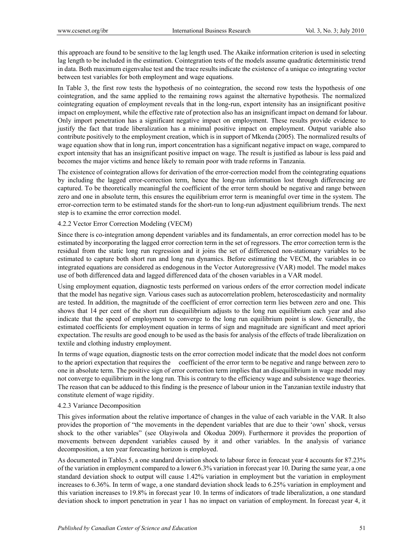this approach are found to be sensitive to the lag length used. The Akaike information criterion is used in selecting lag length to be included in the estimation. Cointegration tests of the models assume quadratic deterministic trend in data. Both maximum eigenvalue test and the trace results indicate the existence of a unique co integrating vector between test variables for both employment and wage equations.

In Table 3, the first row tests the hypothesis of no cointegration, the second row tests the hypothesis of one cointegration, and the same applied to the remaining rows against the alternative hypothesis. The normalized cointegrating equation of employment reveals that in the long-run, export intensity has an insignificant positive impact on employment, while the effective rate of protection also has an insignificant impact on demand for labour. Only import penetration has a significant negative impact on employment. These results provide evidence to justify the fact that trade liberalization has a minimal positive impact on employment. Output variable also contribute positively to the employment creation, which is in support of Mkenda (2005). The normalized results of wage equation show that in long run, import concentration has a significant negative impact on wage, compared to export intensity that has an insignificant positive impact on wage. The result is justified as labour is less paid and becomes the major victims and hence likely to remain poor with trade reforms in Tanzania.

The existence of cointegration allows for derivation of the error-correction model from the cointegrating equations by including the lagged error-correction term, hence the long-run information lost through differencing are captured. To be theoretically meaningful the coefficient of the error term should be negative and range between zero and one in absolute term, this ensures the equilibrium error term is meaningful over time in the system. The error-correction term to be estimated stands for the short-run to long-run adjustment equilibrium trends. The next step is to examine the error correction model.

# 4.2.2 Vector Error Correction Modeling (VECM)

Since there is co-integration among dependent variables and its fundamentals, an error correction model has to be estimated by incorporating the lagged error correction term in the set of regressors. The error correction term is the residual from the static long run regression and it joins the set of differenced non-stationary variables to be estimated to capture both short run and long run dynamics. Before estimating the VECM, the variables in co integrated equations are considered as endogenous in the Vector Autoregressive (VAR) model. The model makes use of both differenced data and lagged differenced data of the chosen variables in a VAR model.

Using employment equation, diagnostic tests performed on various orders of the error correction model indicate that the model has negative sign. Various cases such as autocorrelation problem, heteroscedasticity and normality are tested. In addition, the magnitude of the coefficient of error correction term lies between zero and one. This shows that 14 per cent of the short run disequilibrium adjusts to the long run equilibrium each year and also indicate that the speed of employment to converge to the long run equilibrium point is slow. Generally, the estimated coefficients for employment equation in terms of sign and magnitude are significant and meet apriori expectation. The results are good enough to be used as the basis for analysis of the effects of trade liberalization on textile and clothing industry employment.

In terms of wage equation, diagnostic tests on the error correction model indicate that the model does not conform to the apriori expectation that requires the coefficient of the error term to be negative and range between zero to one in absolute term. The positive sign of error correction term implies that an disequilibrium in wage model may not converge to equilibrium in the long run. This is contrary to the efficiency wage and subsistence wage theories. The reason that can be adduced to this finding is the presence of labour union in the Tanzanian textile industry that constitute element of wage rigidity.

## 4.2.3 Variance Decomposition

This gives information about the relative importance of changes in the value of each variable in the VAR. It also provides the proportion of "the movements in the dependent variables that are due to their 'own' shock, versus shock to the other variables" (see Olayiwola and Okodua 2009). Furthermore it provides the proportion of movements between dependent variables caused by it and other variables. In the analysis of variance decomposition, a ten year forecasting horizon is employed.

As documented in Tables 5, a one standard deviation shock to labour force in forecast year 4 accounts for 87.23% of the variation in employment compared to a lower 6.3% variation in forecast year 10. During the same year, a one standard deviation shock to output will cause 1.42% variation in employment but the variation in employment increases to 6.36%. In term of wage, a one standard deviation shock leads to 6.25% variation in employment and this variation increases to 19.8% in forecast year 10. In terms of indicators of trade liberalization, a one standard deviation shock to import penetration in year 1 has no impact on variation of employment. In forecast year 4, it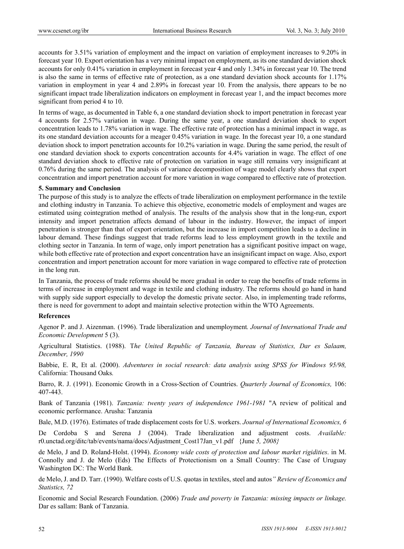accounts for 3.51% variation of employment and the impact on variation of employment increases to 9.20% in forecast year 10. Export orientation has a very minimal impact on employment, as its one standard deviation shock accounts for only 0.41% variation in employment in forecast year 4 and only 1.34% in forecast year 10. The trend is also the same in terms of effective rate of protection, as a one standard deviation shock accounts for 1.17% variation in employment in year 4 and 2.89% in forecast year 10. From the analysis, there appears to be no significant impact trade liberalization indicators on employment in forecast year 1, and the impact becomes more significant from period 4 to 10.

In terms of wage, as documented in Table 6, a one standard deviation shock to import penetration in forecast year 4 accounts for 2.57% variation in wage. During the same year, a one standard deviation shock to export concentration leads to 1.78% variation in wage. The effective rate of protection has a minimal impact in wage, as its one standard deviation accounts for a meager 0.45% variation in wage. In the forecast year 10, a one standard deviation shock to import penetration accounts for 10.2% variation in wage. During the same period, the result of one standard deviation shock to exports concentration accounts for 4.4% variation in wage. The effect of one standard deviation shock to effective rate of protection on variation in wage still remains very insignificant at 0.76% during the same period. The analysis of variance decomposition of wage model clearly shows that export concentration and import penetration account for more variation in wage compared to effective rate of protection.

#### **5. Summary and Conclusion**

The purpose of this study is to analyze the effects of trade liberalization on employment performance in the textile and clothing industry in Tanzania. To achieve this objective, econometric models of employment and wages are estimated using cointegration method of analysis. The results of the analysis show that in the long-run, export intensity and import penetration affects demand of labour in the industry. However, the impact of import penetration is stronger than that of export orientation, but the increase in import competition leads to a decline in labour demand. These findings suggest that trade reforms lead to less employment growth in the textile and clothing sector in Tanzania. In term of wage, only import penetration has a significant positive impact on wage, while both effective rate of protection and export concentration have an insignificant impact on wage. Also, export concentration and import penetration account for more variation in wage compared to effective rate of protection in the long run.

In Tanzania, the process of trade reforms should be more gradual in order to reap the benefits of trade reforms in terms of increase in employment and wage in textile and clothing industry. The reforms should go hand in hand with supply side support especially to develop the domestic private sector. Also, in implementing trade reforms, there is need for government to adopt and maintain selective protection within the WTO Agreements.

#### **References**

Agenor P. and J. Aizenman. (1996). Trade liberalization and unemployment*. Journal of International Trade and Economic Development* 5 (3).

Agricultural Statistics. (1988). T*he United Republic of Tanzania, Bureau of Statistics, Dar es Salaam, December, 1990* 

Babbie, E. R, Et al. (2000). *Adventures in social research: data analysis using SPSS for Windows 95/98,*  California: Thousand Oaks*.* 

Barro, R. J. (1991). Economic Growth in a Cross-Section of Countries. *Quarterly Journal of Economics,* 106: 407-443.

Bank of Tanzania (1981). *Tanzania: twenty years of independence 1961-1981* "A review of political and economic performance. Arusha: Tanzania

Bale, M.D. (1976). Estimates of trade displacement costs for U.S. workers. *Journal of International Economics, 6* 

De Cordoba S and Serena J (2004). Trade liberalization and adjustment costs. *Available:*  r0.unctad.org/ditc/tab/events/nama/docs/Adjustment\_Cost17Jan\_v1.pdf {June *5, 2008}* 

de Melo, J and D. Roland-Holst. (1994). *Economy wide costs of protection and labour market rigidities*. in M. Connolly and J. de Melo (Eds) The Effects of Protectionism on a Small Country: The Case of Uruguay Washington DC: The World Bank*.* 

de Melo, J. and D. Tarr. (1990). Welfare costs of U.S. quotas in textiles, steel and autos*" Review of Economics and Statistics, 72* 

Economic and Social Research Foundation. (2006) *Trade and poverty in Tanzania: missing impacts or linkage.*  Dar es sallam: Bank of Tanzania.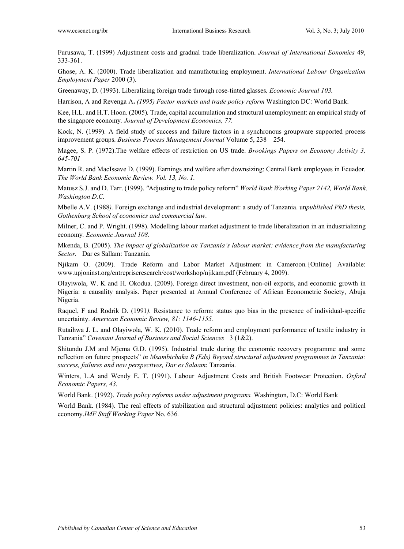Furusawa, T. (1999) Adjustment costs and gradual trade liberalization. *Journal of International Eonomics* 49, 333-361.

Ghose, A. K. (2000). Trade liberalization and manufacturing employment. *International Labour Organization Employment Paper* 2000 (3).

Greenaway, D. (1993). Liberalizing foreign trade through rose-tinted glasses*. Economic Journal 103.* 

Harrison, A and Revenga A**.** *(1995) Factor markets and trade policy reform* Washington DC: World Bank.

Kee, H.L. and H.T. Hoon. (2005)*.* Trade, capital accumulation and structural unemployment: an empirical study of the singapore economy*. Journal of Development Economics, 77.* 

Kock, N. (1999). A field study of success and failure factors in a synchronous groupware supported process improvement groups. *Business Process Management Journal* Volume 5, 238 – 254.

Magee, S. P. (1972).The welfare effects of restriction on US trade. *Brookings Papers on Economy Activity 3, 645-701* 

Martin R. and MacIssave D. (1999). Earnings and welfare after downsizing: Central Bank employees in Ecuador. *The World Bank Economic Review. Vol. 13, No. 1.* 

Matusz S.J. and D. Tarr. (1999). *"*Adjusting to trade policy reform" *World Bank Working Paper 2142, World Bank, Washington D.C.* 

Mbelle A.V. (1988*).* Foreign exchange and industrial development: a study of Tanzania. un*published PhD thesis, Gothenburg School of economics and commercial law*.

Milner, C. and P. Wright. (1998). Modelling labour market adjustment to trade liberalization in an industrializing economy*. Economic Journal 108.* 

Mkenda, B. (2005). *The impact of globalization on Tanzania's labour market: evidence from the manufacturing Sector.* Dar es Sallam: Tanzania.

Njikam O. (2009). Trade Reform and Labor Market Adjustment in Cameroon*.*{Online} Available: www.upjoninst.org/entrepriseresearch/cost/workshop/njikam.pdf (February 4, 2009).

Olayiwola, W. K and H. Okodua. (2009). Foreign direct investment, non-oil exports, and economic growth in Nigeria: a causality analysis. Paper presented at Annual Conference of African Econometric Society, Abuja Nigeria.

Raquel, F and Rodrik D. (1991*).* Resistance to reform: status quo bias in the presence of individual-specific uncertainty. *American Economic Review, 81: 1146-1155.* 

Rutaihwa J. L. and Olayiwola, W. K. (2010). Trade reform and employment performance of textile industry in Tanzania" *Covenant Journal of Business and Social Sciences* 3 (1&2).

Shitundu J.M and Mjema G.D. (1995). Industrial trade during the economic recovery programme and some reflection on future prospects" *in Msambichaka B (Eds) Beyond structural adjustment programmes in Tanzania: success, failures and new perspectives, Dar es Salaam*: Tanzania.

Winters, L.A and Wendy E. T. (1991). Labour Adjustment Costs and British Footwear Protection. *Oxford Economic Papers, 43.* 

World Bank. (1992). *Trade policy reforms under adjustment programs.* Washington, D.C: World Bank

World Bank. (1984). The real effects of stabilization and structural adjustment policies: analytics and political economy.*IMF Staff Working Paper* No. 636*.*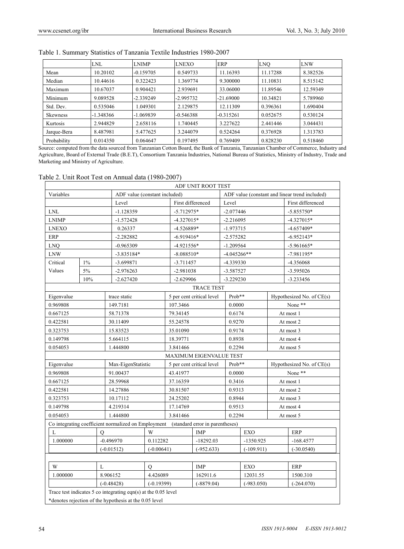|             | LNL         | <b>LNIMP</b> | <b>LNEXO</b> | <b>ERP</b>  | <b>LNQ</b> | <b>LNW</b> |
|-------------|-------------|--------------|--------------|-------------|------------|------------|
| Mean        | 10.20102    | $-0.159705$  | 0.549733     | 11.16393    | 11.17288   | 8.382526   |
| Median      | 10.44616    | 0.322423     | 1.369774     | 9.300000    | 11.10831   | 8.515142   |
| Maximum     | 10.67037    | 0.904421     | 2.939691     | 33,06000    | 11.89546   | 12.59349   |
| Minimum     | 9.089528    | $-2.339249$  | $-2.995732$  | $-21.69000$ | 10.34821   | 5.789960   |
| Std. Dev.   | 0.535046    | 1.049301     | 2.129875     | 12.11309    | 0.396361   | 1.690404   |
| Skewness    | $-1.348366$ | $-1.069839$  | $-0.546388$  | $-0.315261$ | 0.052675   | 0.530124   |
| Kurtosis    | 2.944829    | 2.658116     | 1.740445     | 3.227622    | 2.441446   | 3.044431   |
| Jarque-Bera | 8.487981    | 5.477625     | 3.244079     | 0.524264    | 0.376928   | 1.313783   |
| Probability | 0.014350    | 0.064647     | 0.197495     | 0.769409    | 0.828230   | 0.518460   |

# Table 1. Summary Statistics of Tanzania Textile Industries 1980-2007

Source: computed from the data sourced from Tanzanian Cotton Board, the Bank of Tanzania, Tanzanian Chamber of Commerce, Industry and Agriculture, Board of External Trade (B.E.T), Consortium Tanzania Industries, National Bureau of Statistics, Ministry of Industry, Trade and Marketing and Ministry of Agriculture.

# Table 2. Unit Root Test on Annual data (1980-2007)

| ADF UNIT ROOT TEST                                     |                  |              |                                                                                     |              |                   |                                                |             |               |                              |                           |  |
|--------------------------------------------------------|------------------|--------------|-------------------------------------------------------------------------------------|--------------|-------------------|------------------------------------------------|-------------|---------------|------------------------------|---------------------------|--|
| Variables<br>ADF value (constant included)             |                  |              |                                                                                     |              |                   | ADF value (constant and linear trend included) |             |               |                              |                           |  |
|                                                        |                  |              | Level                                                                               |              | First differenced |                                                | Level       |               |                              | First differenced         |  |
| <b>LNL</b>                                             |                  |              | $-1.128359$                                                                         | $-5.712975*$ |                   |                                                | $-2.077446$ |               |                              | $-5.855750*$              |  |
| <b>LNIMP</b><br>$-1.572428$                            |                  |              | $-4.327015*$                                                                        |              | $-2.216095$       |                                                |             | $-4.327015*$  |                              |                           |  |
| <b>LNEXO</b><br>0.26337                                |                  |              | $-4.526889*$                                                                        |              |                   | $-1.973715$                                    |             | $-4.657409*$  |                              |                           |  |
| <b>ERP</b>                                             |                  |              | $-2.282882$                                                                         |              | $-6.919416*$      |                                                |             | $-2.575282$   |                              | $-6.952143*$              |  |
| <b>LNQ</b>                                             |                  |              | $-0.965309$                                                                         |              | $-4.921556*$      |                                                |             | $-1.209564$   |                              | $-5.961665*$              |  |
| <b>LNW</b>                                             |                  |              | $-3.835184*$                                                                        |              | $-8.088510*$      |                                                |             | $-4.045266**$ |                              | $-7.981195*$              |  |
| Critical                                               | $1\%$            |              | -3.699871                                                                           |              | $-3.711457$       |                                                |             | -4.339330     |                              | -4.356068                 |  |
| Values                                                 | 5%               |              | $-2.976263$                                                                         |              | $-2.981038$       |                                                |             | $-3.587527$   |                              | $-3.595026$               |  |
|                                                        | 10%              |              | $-2.627420$                                                                         |              | $-2.629906$       |                                                |             | $-3.229230$   |                              | $-3.233456$               |  |
|                                                        |                  |              |                                                                                     |              |                   | <b>TRACE TEST</b>                              |             |               |                              |                           |  |
| Eigenvalue                                             |                  |              | trace static                                                                        |              |                   | 5 per cent critical level                      |             | Prob**        |                              | Hypothesized No. of CE(s) |  |
| 0.969808                                               |                  |              | 149.7181                                                                            |              | 107.3466          |                                                |             | 0.0000        |                              | None **                   |  |
| 0.667125                                               |                  |              | 58.71378                                                                            |              | 79.34145          | 0.6174                                         |             |               | At most 1                    |                           |  |
| 0.422581                                               |                  |              | 30.11409                                                                            | 55.24578     |                   |                                                | 0.9270      |               |                              | At most 2                 |  |
| 0.323753                                               |                  |              | 15.83523                                                                            | 35.01090     |                   | 0.9174                                         |             |               | At most 3                    |                           |  |
| 0.149798                                               |                  |              | 5.664115                                                                            | 18.39771     |                   |                                                | 0.8938      |               |                              | At most 4                 |  |
| 0.054053                                               |                  |              | 1.444800                                                                            | 3.841466     |                   |                                                | 0.2294      |               | At most 5                    |                           |  |
|                                                        |                  |              |                                                                                     |              |                   | <b>MAXIMUM EIGENVALUE TEST</b>                 |             |               |                              |                           |  |
| Eigenvalue                                             |                  |              | Max-EigenStatistic                                                                  |              |                   | 5 per cent critical level                      |             | Prob**        |                              | Hypothesized No. of CE(s) |  |
| 0.969808                                               |                  |              | 91.00437                                                                            |              | 43.41977          |                                                | 0.0000      |               |                              | None **                   |  |
| 0.667125                                               |                  |              | 28.59968                                                                            |              | 37.16359          |                                                |             | 0.3416        |                              | At most 1                 |  |
| 0.422581                                               |                  |              | 14.27886                                                                            |              | 30.81507          |                                                | 0.9313      |               |                              | At most 2                 |  |
| 0.323753                                               |                  |              | 10.17112                                                                            |              | 24.25202          |                                                | 0.8944      |               |                              | At most 3                 |  |
| 0.149798                                               |                  |              | 4.219314                                                                            |              | 17.14769          |                                                | 0.9513      |               |                              | At most 4                 |  |
| 0.054053                                               |                  |              | 1.444800                                                                            |              | 3.841466          |                                                | 0.2294      |               |                              | At most 5                 |  |
|                                                        |                  |              | Co integrating coefficient normalized on Employment (standard error in parentheses) |              |                   |                                                |             |               |                              |                           |  |
| $\mathbf L$                                            | Q                |              | W                                                                                   |              | <b>IMP</b>        |                                                |             |               | <b>ERP</b>                   |                           |  |
| $-0.496970$<br>1.000000                                |                  | 0.112282     |                                                                                     | $-18292.03$  |                   | $-1350.925$                                    |             | $-168.4577$   |                              |                           |  |
| $(-0.01512)$                                           |                  | $(-0.00641)$ |                                                                                     | $(-952.633)$ |                   | $(-109.911)$                                   |             | $(-30.0540)$  |                              |                           |  |
|                                                        |                  |              |                                                                                     |              |                   |                                                |             |               |                              |                           |  |
| W                                                      | L<br>$\mathbf Q$ |              |                                                                                     | <b>IMP</b>   |                   | <b>EXO</b>                                     |             |               | ERP                          |                           |  |
| 1.000000                                               |                  | 8.906152     |                                                                                     | 4.426089     |                   | 162911.6                                       |             | 12031.55      |                              | 1500.310                  |  |
|                                                        |                  | $(-0.48428)$ |                                                                                     | $(-0.19399)$ |                   | $(-8879.04)$                                   |             |               | $(-983.050)$<br>$(-264.070)$ |                           |  |
|                                                        |                  |              | Trace test indicates 5 co integrating eqn(s) at the 0.05 level                      |              |                   |                                                |             |               |                              |                           |  |
| *denotes rejection of the hypothesis at the 0.05 level |                  |              |                                                                                     |              |                   |                                                |             |               |                              |                           |  |